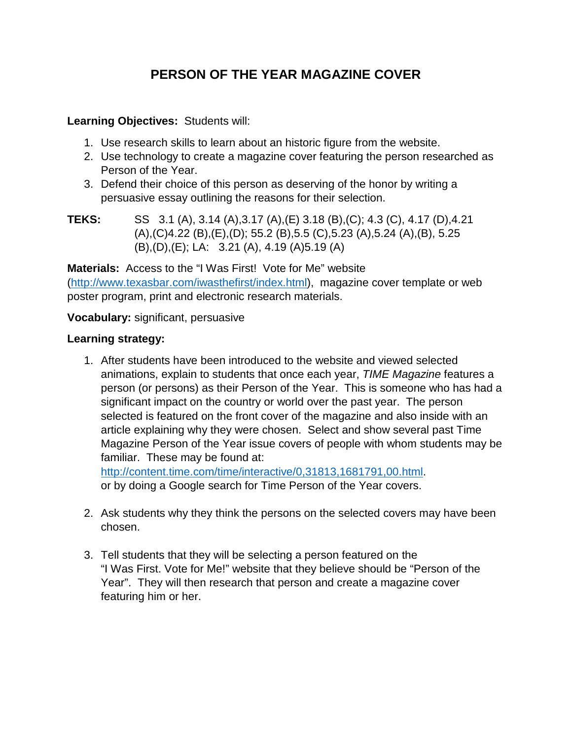## **PERSON OF THE YEAR MAGAZINE COVER**

## **Learning Objectives:** Students will:

- 1. Use research skills to learn about an historic figure from the website.
- 2. Use technology to create a magazine cover featuring the person researched as Person of the Year.
- 3. Defend their choice of this person as deserving of the honor by writing a persuasive essay outlining the reasons for their selection.
- **TEKS:** SS 3.1 (A), 3.14 (A),3.17 (A),(E) 3.18 (B),(C); 4.3 (C), 4.17 (D),4.21 (A),(C)4.22 (B),(E),(D); 55.2 (B),5.5 (C),5.23 (A),5.24 (A),(B), 5.25 (B),(D),(E); LA: 3.21 (A), 4.19 (A)5.19 (A)

**Materials:** Access to the "I Was First! Vote for Me" website [\(http://www.texasbar.com/iwasthefirst/index.html\)](http://www.texasbar.com/iwasthefirst/index.html), magazine cover template or web poster program, print and electronic research materials.

**Vocabulary:** significant, persuasive

## **Learning strategy:**

1. After students have been introduced to the website and viewed selected animations, explain to students that once each year, *TIME Magazine* features a person (or persons) as their Person of the Year. This is someone who has had a significant impact on the country or world over the past year. The person selected is featured on the front cover of the magazine and also inside with an article explaining why they were chosen. Select and show several past Time Magazine Person of the Year issue covers of people with whom students may be familiar. These may be found at:

[http://content.time.com/time/interactive/0,31813,1681791,00.html.](http://content.time.com/time/interactive/0,31813,1681791,00.html) or by doing a Google search for Time Person of the Year covers.

- 2. Ask students why they think the persons on the selected covers may have been chosen.
- 3. Tell students that they will be selecting a person featured on the "I Was First. Vote for Me!" website that they believe should be "Person of the Year". They will then research that person and create a magazine cover featuring him or her.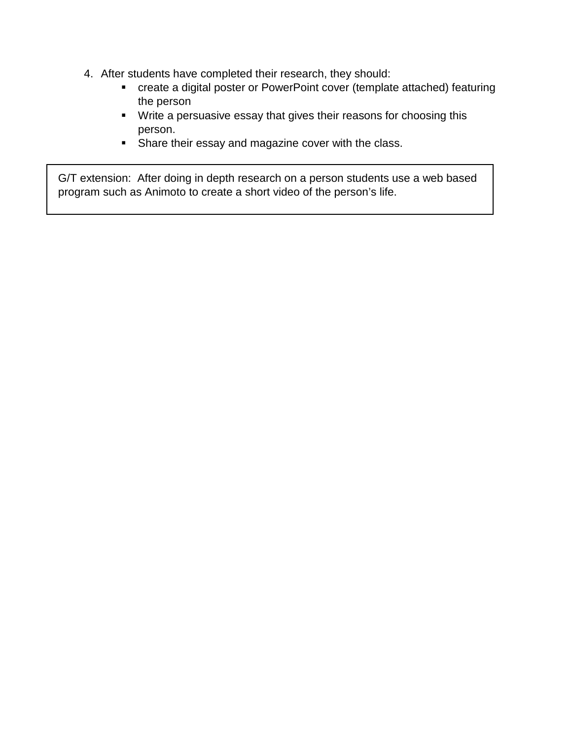- 4. After students have completed their research, they should:
	- create a digital poster or PowerPoint cover (template attached) featuring the person
	- Write a persuasive essay that gives their reasons for choosing this person.
	- **Share their essay and magazine cover with the class.**

G/T extension: After doing in depth research on a person students use a web based program such as Animoto to create a short video of the person's life.